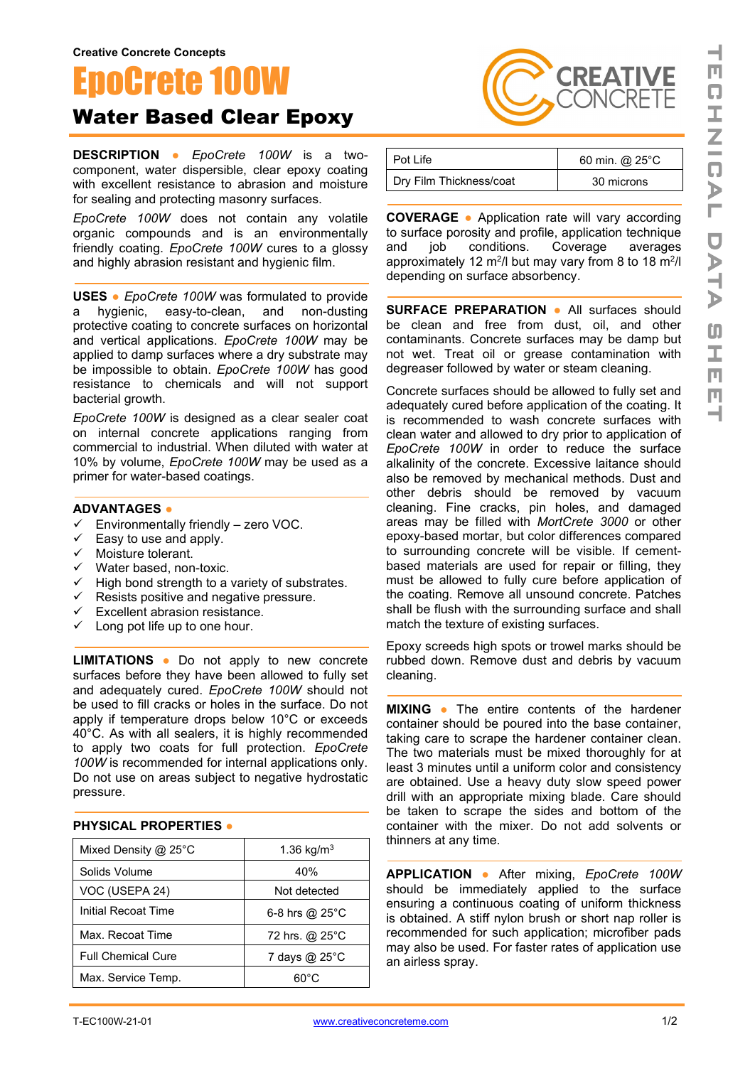## ocrete 100W Water Based Clear Epoxy

**DESCRIPTION ●** *EpoCrete 100W* is a twocomponent, water dispersible, clear epoxy coating with excellent resistance to abrasion and moisture for sealing and protecting masonry surfaces.

*EpoCrete 100W* does not contain any volatile organic compounds and is an environmentally friendly coating. *EpoCrete 100W* cures to a glossy and highly abrasion resistant and hygienic film.

**USES ●** *EpoCrete 100W* was formulated to provide a hygienic, easy-to-clean, and non-dusting protective coating to concrete surfaces on horizontal and vertical applications. *EpoCrete 100W* may be applied to damp surfaces where a dry substrate may be impossible to obtain. *EpoCrete 100W* has good resistance to chemicals and will not support bacterial growth.

*EpoCrete 100W* is designed as a clear sealer coat on internal concrete applications ranging from commercial to industrial. When diluted with water at 10% by volume, *EpoCrete 100W* may be used as a primer for water-based coatings.

## **ADVANTAGES ●**

- $\checkmark$  Environmentally friendly zero VOC.
- $\checkmark$  Easy to use and apply.
- $V = \cos y$   $\cos y$ <br>  $V = \sin y$  Moisture tolerant.
- $\checkmark$  Water based, non-toxic.
- $\checkmark$  High bond strength to a variety of substrates.
- $\checkmark$  Resists positive and negative pressure.
- $\checkmark$  Excellent abrasion resistance.
- $\checkmark$  Long pot life up to one hour.

**LIMITATIONS ●** Do not apply to new concrete surfaces before they have been allowed to fully set and adequately cured. *EpoCrete 100W* should not be used to fill cracks or holes in the surface. Do not apply if temperature drops below 10°C or exceeds 40°C. As with all sealers, it is highly recommended to apply two coats for full protection. *EpoCrete 100W* is recommended for internal applications only. Do not use on areas subject to negative hydrostatic pressure.

## **PHYSICAL PROPERTIES ●**

| Mixed Density @ 25°C      | 1.36 kg/m <sup>3</sup> |
|---------------------------|------------------------|
| Solids Volume             | 40%                    |
| VOC (USEPA 24)            | Not detected           |
| Initial Recoat Time       | 6-8 hrs $@$ 25 $°C$    |
| Max. Recoat Time          | 72 hrs. @ 25°C         |
| <b>Full Chemical Cure</b> | 7 days @ 25°C          |
| Max. Service Temp.        | െറ                     |

| Pot Life                | 60 min. @ 25°C |
|-------------------------|----------------|
| Dry Film Thickness/coat | 30 microns     |

**CREATIVE** 

**COVERAGE ●** Application rate will vary according to surface porosity and profile, application technique<br>and <br>job conditions. Coverage averages and job conditions. Coverage averages approximately 12 m<sup>2</sup>/l but may vary from 8 to 18 m<sup>2</sup>/l depending on surface absorbency.

**SURFACE PREPARATION ●** All surfaces should be clean and free from dust, oil, and other contaminants. Concrete surfaces may be damp but not wet. Treat oil or grease contamination with degreaser followed by water or steam cleaning.

Concrete surfaces should be allowed to fully set and adequately cured before application of the coating. It is recommended to wash concrete surfaces with clean water and allowed to dry prior to application of *EpoCrete 100W* in order to reduce the surface alkalinity of the concrete. Excessive laitance should also be removed by mechanical methods. Dust and other debris should be removed by vacuum cleaning. Fine cracks, pin holes, and damaged areas may be filled with *MortCrete 3000* or other epoxy-based mortar, but color differences compared to surrounding concrete will be visible. If cementbased materials are used for repair or filling, they must be allowed to fully cure before application of the coating. Remove all unsound concrete. Patches shall be flush with the surrounding surface and shall match the texture of existing surfaces.

Epoxy screeds high spots or trowel marks should be rubbed down. Remove dust and debris by vacuum cleaning.

**MIXING ●** The entire contents of the hardener container should be poured into the base container, taking care to scrape the hardener container clean. The two materials must be mixed thoroughly for at least 3 minutes until a uniform color and consistency are obtained. Use a heavy duty slow speed power drill with an appropriate mixing blade. Care should be taken to scrape the sides and bottom of the container with the mixer. Do not add solvents or thinners at any time.

**APPLICATION ●** After mixing, *EpoCrete 100W* should be immediately applied to the surface ensuring a continuous coating of uniform thickness is obtained. A stiff nylon brush or short nap roller is recommended for such application; microfiber pads may also be used. For faster rates of application use an airless spray.